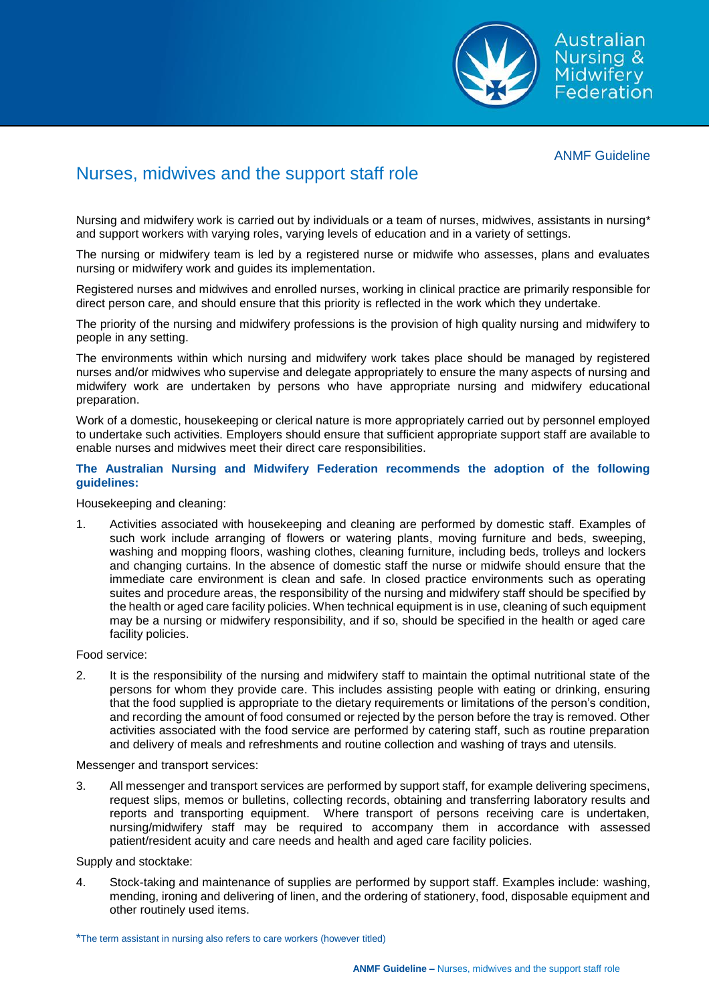

Australian Nursing & Midwifery 

## ANMF Guideline

## Nurses, midwives and the support staff role

Nursing and midwifery work is carried out by individuals or a team of nurses, midwives, assistants in nursing<sup>\*</sup> and support workers with varying roles, varying levels of education and in a variety of settings.

The nursing or midwifery team is led by a registered nurse or midwife who assesses, plans and evaluates nursing or midwifery work and guides its implementation.

Registered nurses and midwives and enrolled nurses, working in clinical practice are primarily responsible for direct person care, and should ensure that this priority is reflected in the work which they undertake.

The priority of the nursing and midwifery professions is the provision of high quality nursing and midwifery to people in any setting.

The environments within which nursing and midwifery work takes place should be managed by registered nurses and/or midwives who supervise and delegate appropriately to ensure the many aspects of nursing and midwifery work are undertaken by persons who have appropriate nursing and midwifery educational preparation.

Work of a domestic, housekeeping or clerical nature is more appropriately carried out by personnel employed to undertake such activities. Employers should ensure that sufficient appropriate support staff are available to enable nurses and midwives meet their direct care responsibilities.

## **The Australian Nursing and Midwifery Federation recommends the adoption of the following guidelines:**

Housekeeping and cleaning:

1. Activities associated with housekeeping and cleaning are performed by domestic staff. Examples of such work include arranging of flowers or watering plants, moving furniture and beds, sweeping, washing and mopping floors, washing clothes, cleaning furniture, including beds, trolleys and lockers and changing curtains. In the absence of domestic staff the nurse or midwife should ensure that the immediate care environment is clean and safe. In closed practice environments such as operating suites and procedure areas, the responsibility of the nursing and midwifery staff should be specified by the health or aged care facility policies. When technical equipment is in use, cleaning of such equipment may be a nursing or midwifery responsibility, and if so, should be specified in the health or aged care facility policies.

Food service:

2. It is the responsibility of the nursing and midwifery staff to maintain the optimal nutritional state of the persons for whom they provide care. This includes assisting people with eating or drinking, ensuring that the food supplied is appropriate to the dietary requirements or limitations of the person's condition, and recording the amount of food consumed or rejected by the person before the tray is removed. Other activities associated with the food service are performed by catering staff, such as routine preparation and delivery of meals and refreshments and routine collection and washing of trays and utensils.

Messenger and transport services:

3. All messenger and transport services are performed by support staff, for example delivering specimens, request slips, memos or bulletins, collecting records, obtaining and transferring laboratory results and reports and transporting equipment. Where transport of persons receiving care is undertaken, nursing/midwifery staff may be required to accompany them in accordance with assessed patient/resident acuity and care needs and health and aged care facility policies.

Supply and stocktake:

4. Stock-taking and maintenance of supplies are performed by support staff. Examples include: washing, mending, ironing and delivering of linen, and the ordering of stationery, food, disposable equipment and other routinely used items.

<sup>\*</sup>The term assistant in nursing also refers to care workers (however titled)